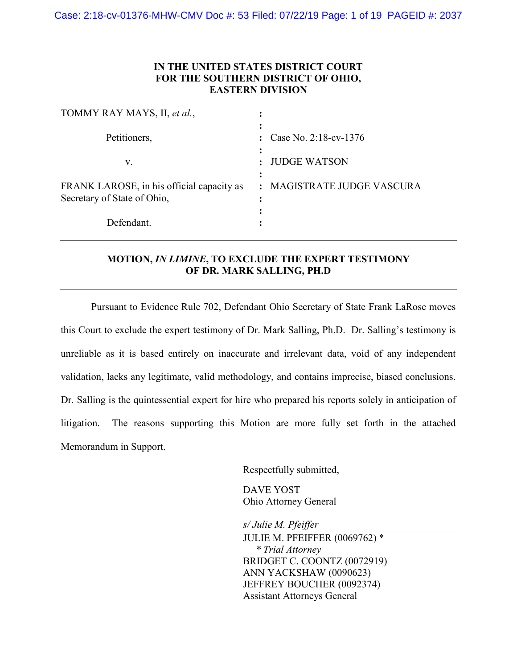### **IN THE UNITED STATES DISTRICT COURT FOR THE SOUTHERN DISTRICT OF OHIO, EASTERN DIVISION**

| TOMMY RAY MAYS, II, et al.,                                              |                                       |
|--------------------------------------------------------------------------|---------------------------------------|
| Petitioners,                                                             | Case No. 2:18-cv-1376<br>÷            |
| V.                                                                       | <b>JUDGE WATSON</b><br>$\ddot{\cdot}$ |
| FRANK LAROSE, in his official capacity as<br>Secretary of State of Ohio, | : MAGISTRATE JUDGE VASCURA            |
| Defendant.                                                               |                                       |

## **MOTION,** *IN LIMINE***, TO EXCLUDE THE EXPERT TESTIMONY OF DR. MARK SALLING, PH.D**

Pursuant to Evidence Rule 702, Defendant Ohio Secretary of State Frank LaRose moves this Court to exclude the expert testimony of Dr. Mark Salling, Ph.D. Dr. Salling's testimony is unreliable as it is based entirely on inaccurate and irrelevant data, void of any independent validation, lacks any legitimate, valid methodology, and contains imprecise, biased conclusions. Dr. Salling is the quintessential expert for hire who prepared his reports solely in anticipation of litigation. The reasons supporting this Motion are more fully set forth in the attached Memorandum in Support.

Respectfully submitted,

DAVE YOST Ohio Attorney General

*s/ Julie M. Pfeiffer*

JULIE M. PFEIFFER (0069762) \* *\* Trial Attorney* BRIDGET C. COONTZ (0072919) ANN YACKSHAW (0090623) JEFFREY BOUCHER (0092374) Assistant Attorneys General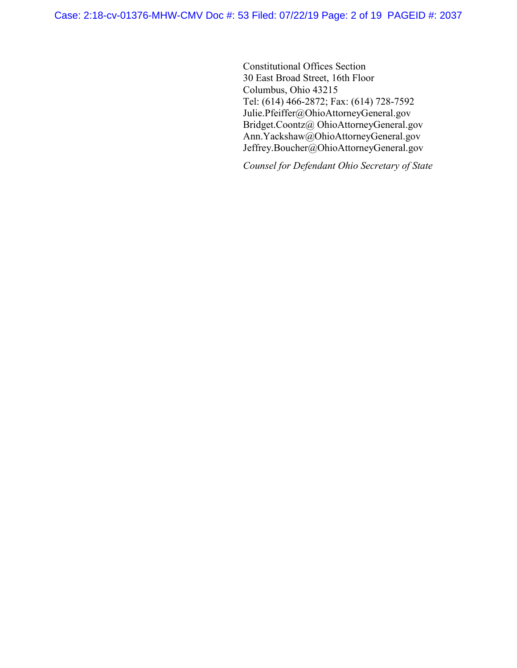Constitutional Offices Section 30 East Broad Street, 16th Floor Columbus, Ohio 43215 Tel: (614) 466-2872; Fax: (614) 728-7592 Julie.Pfeiffer@OhioAttorneyGeneral.gov Bridget.Coontz@ OhioAttorneyGeneral.gov Ann.Yackshaw@OhioAttorneyGeneral.gov Jeffrey.Boucher@OhioAttorneyGeneral.gov

*Counsel for Defendant Ohio Secretary of State*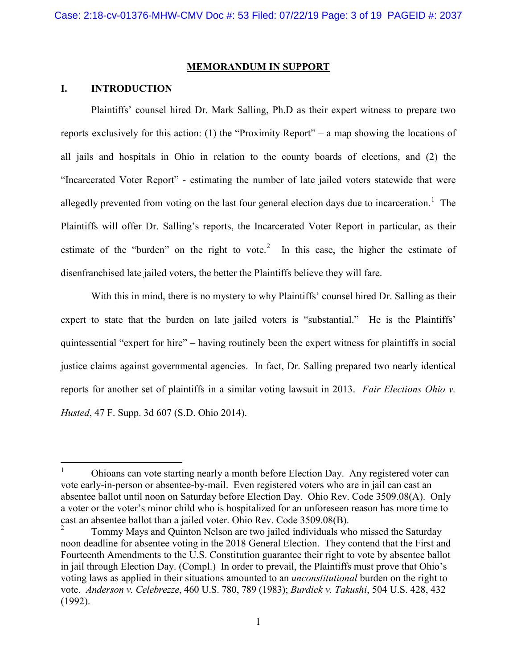#### **MEMORANDUM IN SUPPORT**

#### **I. INTRODUCTION**

Plaintiffs' counsel hired Dr. Mark Salling, Ph.D as their expert witness to prepare two reports exclusively for this action: (1) the "Proximity Report" – a map showing the locations of all jails and hospitals in Ohio in relation to the county boards of elections, and (2) the "Incarcerated Voter Report" - estimating the number of late jailed voters statewide that were allegedly prevented from voting on the last four general election days due to incarceration.<sup>[1](#page-2-0)</sup> The Plaintiffs will offer Dr. Salling's reports, the Incarcerated Voter Report in particular, as their estimate of the "burden" on the right to vote.<sup>[2](#page-2-1)</sup> In this case, the higher the estimate of disenfranchised late jailed voters, the better the Plaintiffs believe they will fare.

With this in mind, there is no mystery to why Plaintiffs' counsel hired Dr. Salling as their expert to state that the burden on late jailed voters is "substantial." He is the Plaintiffs' quintessential "expert for hire" – having routinely been the expert witness for plaintiffs in social justice claims against governmental agencies. In fact, Dr. Salling prepared two nearly identical reports for another set of plaintiffs in a similar voting lawsuit in 2013. *Fair Elections Ohio v. Husted*, 47 F. Supp. 3d 607 (S.D. Ohio 2014).

<span id="page-2-0"></span><sup>&</sup>lt;sup>1</sup> Ohioans can vote starting nearly a month before Election Day. Any registered voter can vote early-in-person or absentee-by-mail. Even registered voters who are in jail can cast an absentee ballot until noon on Saturday before Election Day. Ohio Rev. Code 3509.08(A). Only a voter or the voter's minor child who is hospitalized for an unforeseen reason has more time to cast an absentee ballot than a jailed voter. Ohio Rev. Code 3509.08(B).<br><sup>2</sup> Tommy Mays and Quinton Nelson are two jailed individuals who missed the Saturday

<span id="page-2-1"></span>noon deadline for absentee voting in the 2018 General Election. They contend that the First and Fourteenth Amendments to the U.S. Constitution guarantee their right to vote by absentee ballot in jail through Election Day. (Compl.) In order to prevail, the Plaintiffs must prove that Ohio's voting laws as applied in their situations amounted to an *unconstitutional* burden on the right to vote. *Anderson v. Celebrezze*, 460 U.S. 780, 789 (1983); *Burdick v. Takushi*, 504 U.S. 428, 432 (1992).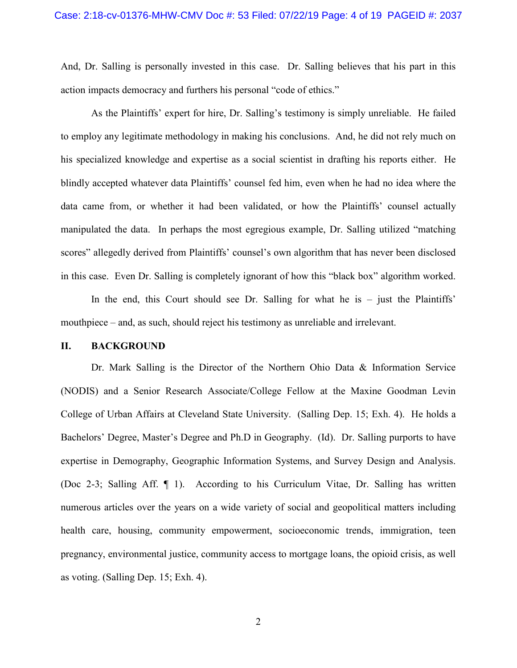And, Dr. Salling is personally invested in this case. Dr. Salling believes that his part in this action impacts democracy and furthers his personal "code of ethics."

As the Plaintiffs' expert for hire, Dr. Salling's testimony is simply unreliable. He failed to employ any legitimate methodology in making his conclusions. And, he did not rely much on his specialized knowledge and expertise as a social scientist in drafting his reports either. He blindly accepted whatever data Plaintiffs' counsel fed him, even when he had no idea where the data came from, or whether it had been validated, or how the Plaintiffs' counsel actually manipulated the data. In perhaps the most egregious example, Dr. Salling utilized "matching scores" allegedly derived from Plaintiffs' counsel's own algorithm that has never been disclosed in this case. Even Dr. Salling is completely ignorant of how this "black box" algorithm worked.

In the end, this Court should see Dr. Salling for what he is – just the Plaintiffs' mouthpiece – and, as such, should reject his testimony as unreliable and irrelevant.

#### **II. BACKGROUND**

Dr. Mark Salling is the Director of the Northern Ohio Data & Information Service (NODIS) and a Senior Research Associate/College Fellow at the Maxine Goodman Levin College of Urban Affairs at Cleveland State University. (Salling Dep. 15; Exh. 4). He holds a Bachelors' Degree, Master's Degree and Ph.D in Geography. (Id). Dr. Salling purports to have expertise in Demography, Geographic Information Systems, and Survey Design and Analysis. (Doc 2-3; Salling Aff. ¶ 1). According to his Curriculum Vitae, Dr. Salling has written numerous articles over the years on a wide variety of social and geopolitical matters including health care, housing, community empowerment, socioeconomic trends, immigration, teen pregnancy, environmental justice, community access to mortgage loans, the opioid crisis, as well as voting. (Salling Dep. 15; Exh. 4).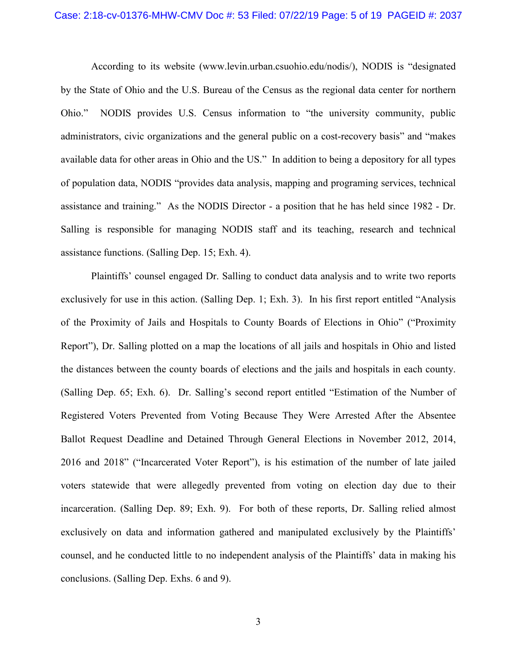According to its website (www.levin.urban.csuohio.edu/nodis/), NODIS is "designated by the State of Ohio and the U.S. Bureau of the Census as the regional data center for northern Ohio." NODIS provides U.S. Census information to "the university community, public administrators, civic organizations and the general public on a cost-recovery basis" and "makes available data for other areas in Ohio and the US." In addition to being a depository for all types of population data, NODIS "provides data analysis, mapping and programing services, technical assistance and training." As the NODIS Director - a position that he has held since 1982 - Dr. Salling is responsible for managing NODIS staff and its teaching, research and technical assistance functions. (Salling Dep. 15; Exh. 4).

Plaintiffs' counsel engaged Dr. Salling to conduct data analysis and to write two reports exclusively for use in this action. (Salling Dep. 1; Exh. 3). In his first report entitled "Analysis of the Proximity of Jails and Hospitals to County Boards of Elections in Ohio" ("Proximity Report"), Dr. Salling plotted on a map the locations of all jails and hospitals in Ohio and listed the distances between the county boards of elections and the jails and hospitals in each county. (Salling Dep. 65; Exh. 6). Dr. Salling's second report entitled "Estimation of the Number of Registered Voters Prevented from Voting Because They Were Arrested After the Absentee Ballot Request Deadline and Detained Through General Elections in November 2012, 2014, 2016 and 2018" ("Incarcerated Voter Report"), is his estimation of the number of late jailed voters statewide that were allegedly prevented from voting on election day due to their incarceration. (Salling Dep. 89; Exh. 9). For both of these reports, Dr. Salling relied almost exclusively on data and information gathered and manipulated exclusively by the Plaintiffs' counsel, and he conducted little to no independent analysis of the Plaintiffs' data in making his conclusions. (Salling Dep. Exhs. 6 and 9).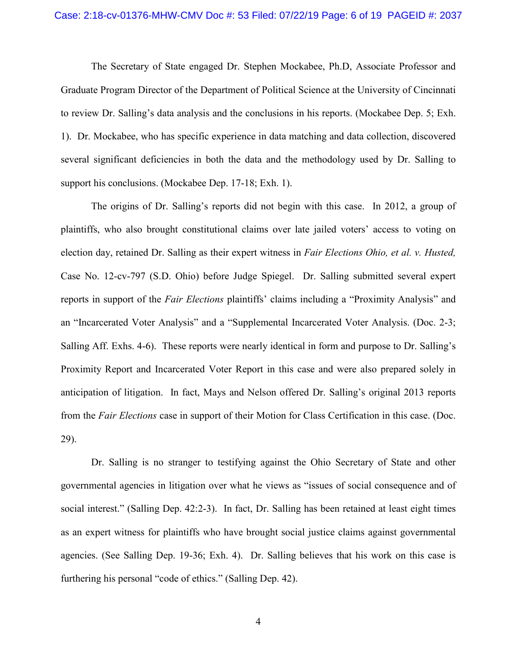#### Case: 2:18-cv-01376-MHW-CMV Doc #: 53 Filed: 07/22/19 Page: 6 of 19 PAGEID #: 2037

The Secretary of State engaged Dr. Stephen Mockabee, Ph.D, Associate Professor and Graduate Program Director of the Department of Political Science at the University of Cincinnati to review Dr. Salling's data analysis and the conclusions in his reports. (Mockabee Dep. 5; Exh. 1). Dr. Mockabee, who has specific experience in data matching and data collection, discovered several significant deficiencies in both the data and the methodology used by Dr. Salling to support his conclusions. (Mockabee Dep. 17-18; Exh. 1).

The origins of Dr. Salling's reports did not begin with this case. In 2012, a group of plaintiffs, who also brought constitutional claims over late jailed voters' access to voting on election day, retained Dr. Salling as their expert witness in *Fair Elections Ohio, et al. v. Husted,*  Case No. 12-cv-797 (S.D. Ohio) before Judge Spiegel. Dr. Salling submitted several expert reports in support of the *Fair Elections* plaintiffs' claims including a "Proximity Analysis" and an "Incarcerated Voter Analysis" and a "Supplemental Incarcerated Voter Analysis. (Doc. 2-3; Salling Aff. Exhs. 4-6). These reports were nearly identical in form and purpose to Dr. Salling's Proximity Report and Incarcerated Voter Report in this case and were also prepared solely in anticipation of litigation. In fact, Mays and Nelson offered Dr. Salling's original 2013 reports from the *Fair Elections* case in support of their Motion for Class Certification in this case. (Doc. 29).

Dr. Salling is no stranger to testifying against the Ohio Secretary of State and other governmental agencies in litigation over what he views as "issues of social consequence and of social interest." (Salling Dep. 42:2-3). In fact, Dr. Salling has been retained at least eight times as an expert witness for plaintiffs who have brought social justice claims against governmental agencies. (See Salling Dep. 19-36; Exh. 4). Dr. Salling believes that his work on this case is furthering his personal "code of ethics." (Salling Dep. 42).

4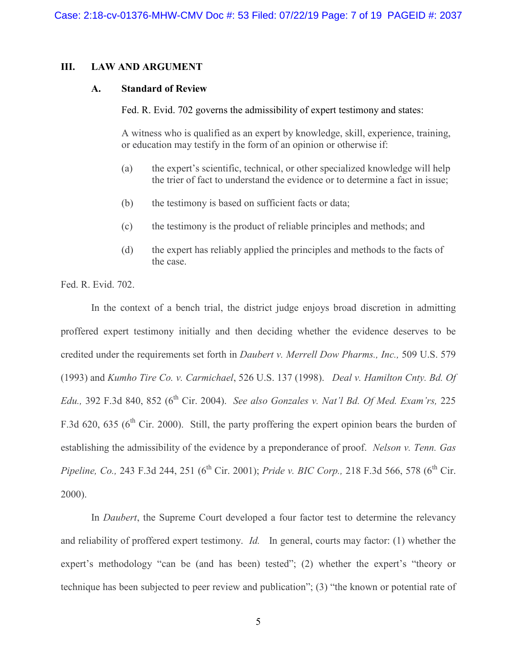#### **III. LAW AND ARGUMENT**

#### **A. Standard of Review**

Fed. R. Evid. 702 governs the admissibility of expert testimony and states:

A witness who is qualified as an expert by knowledge, skill, experience, training, or education may testify in the form of an opinion or otherwise if:

- (a) the expert's scientific, technical, or other specialized knowledge will help the trier of fact to understand the evidence or to determine a fact in issue;
- (b) the testimony is based on sufficient facts or data;
- (c) the testimony is the product of reliable principles and methods; and
- (d) the expert has reliably applied the principles and methods to the facts of the case.

Fed. R. Evid. 702.

In the context of a bench trial, the district judge enjoys broad discretion in admitting proffered expert testimony initially and then deciding whether the evidence deserves to be credited under the requirements set forth in *Daubert v. Merrell Dow Pharms., Inc.,* 509 U.S. 579 (1993) and *Kumho Tire Co. v. Carmichael*, 526 U.S. 137 (1998). *Deal v. Hamilton Cnty. Bd. Of Edu.*, 392 F.3d 840, 852 (6<sup>th</sup> Cir. 2004). *See also Gonzales v. Nat'l Bd. Of Med. Exam'rs,* 225 F.3d 620, 635 ( $6<sup>th</sup>$  Cir. 2000). Still, the party proffering the expert opinion bears the burden of establishing the admissibility of the evidence by a preponderance of proof. *Nelson v. Tenn. Gas Pipeline, Co., 243 F.3d 244, 251 (6<sup>th</sup> Cir. 2001); <i>Pride v. BIC Corp., 218 F.3d 566, 578 (6<sup>th</sup> Cir.* 2000).

In *Daubert*, the Supreme Court developed a four factor test to determine the relevancy and reliability of proffered expert testimony. *Id.* In general, courts may factor: (1) whether the expert's methodology "can be (and has been) tested"; (2) whether the expert's "theory or technique has been subjected to peer review and publication"; (3) "the known or potential rate of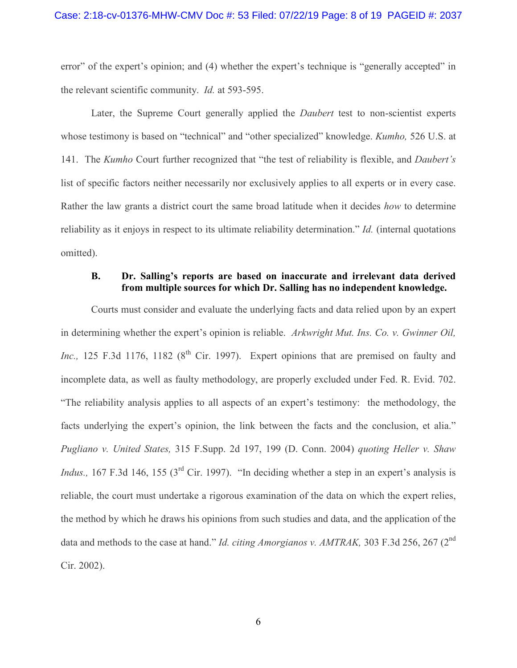error" of the expert's opinion; and (4) whether the expert's technique is "generally accepted" in the relevant scientific community. *Id.* at 593-595.

Later, the Supreme Court generally applied the *Daubert* test to non-scientist experts whose testimony is based on "technical" and "other specialized" knowledge. *Kumho,* 526 U.S. at 141. The *Kumho* Court further recognized that "the test of reliability is flexible, and *Daubert's* list of specific factors neither necessarily nor exclusively applies to all experts or in every case. Rather the law grants a district court the same broad latitude when it decides *how* to determine reliability as it enjoys in respect to its ultimate reliability determination." *Id.* (internal quotations omitted).

### **B. Dr. Salling's reports are based on inaccurate and irrelevant data derived from multiple sources for which Dr. Salling has no independent knowledge.**

Courts must consider and evaluate the underlying facts and data relied upon by an expert in determining whether the expert's opinion is reliable. *Arkwright Mut. Ins. Co. v. Gwinner Oil, Inc.*, 125 F.3d 1176, 1182 ( $8^{th}$  Cir. 1997). Expert opinions that are premised on faulty and incomplete data, as well as faulty methodology, are properly excluded under Fed. R. Evid. 702. "The reliability analysis applies to all aspects of an expert's testimony: the methodology, the facts underlying the expert's opinion, the link between the facts and the conclusion, et alia." *Pugliano v. United States,* 315 F.Supp. 2d 197, 199 (D. Conn. 2004) *quoting Heller v. Shaw Indus.*, 167 F.3d 146, 155 (3<sup>rd</sup> Cir. 1997). "In deciding whether a step in an expert's analysis is reliable, the court must undertake a rigorous examination of the data on which the expert relies, the method by which he draws his opinions from such studies and data, and the application of the data and methods to the case at hand." *Id. citing Amorgianos v. AMTRAK,* 303 F.3d 256, 267 (2nd Cir. 2002).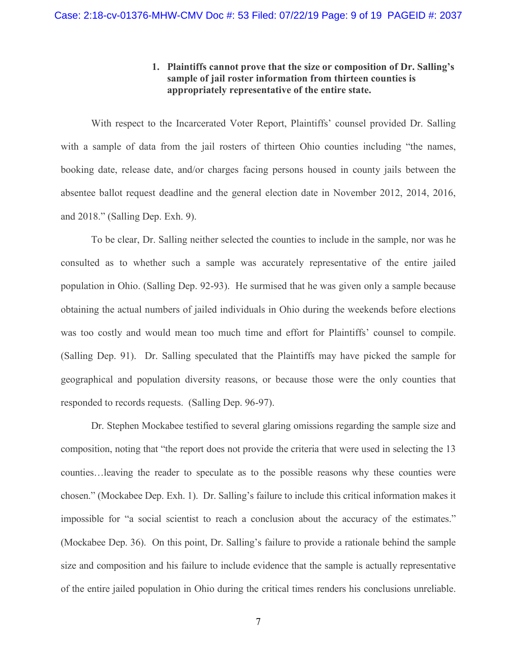### **1. Plaintiffs cannot prove that the size or composition of Dr. Salling's sample of jail roster information from thirteen counties is appropriately representative of the entire state.**

With respect to the Incarcerated Voter Report, Plaintiffs' counsel provided Dr. Salling with a sample of data from the jail rosters of thirteen Ohio counties including "the names, booking date, release date, and/or charges facing persons housed in county jails between the absentee ballot request deadline and the general election date in November 2012, 2014, 2016, and 2018." (Salling Dep. Exh. 9).

To be clear, Dr. Salling neither selected the counties to include in the sample, nor was he consulted as to whether such a sample was accurately representative of the entire jailed population in Ohio. (Salling Dep. 92-93). He surmised that he was given only a sample because obtaining the actual numbers of jailed individuals in Ohio during the weekends before elections was too costly and would mean too much time and effort for Plaintiffs' counsel to compile. (Salling Dep. 91). Dr. Salling speculated that the Plaintiffs may have picked the sample for geographical and population diversity reasons, or because those were the only counties that responded to records requests. (Salling Dep. 96-97).

Dr. Stephen Mockabee testified to several glaring omissions regarding the sample size and composition, noting that "the report does not provide the criteria that were used in selecting the 13 counties…leaving the reader to speculate as to the possible reasons why these counties were chosen." (Mockabee Dep. Exh. 1). Dr. Salling's failure to include this critical information makes it impossible for "a social scientist to reach a conclusion about the accuracy of the estimates." (Mockabee Dep. 36). On this point, Dr. Salling's failure to provide a rationale behind the sample size and composition and his failure to include evidence that the sample is actually representative of the entire jailed population in Ohio during the critical times renders his conclusions unreliable.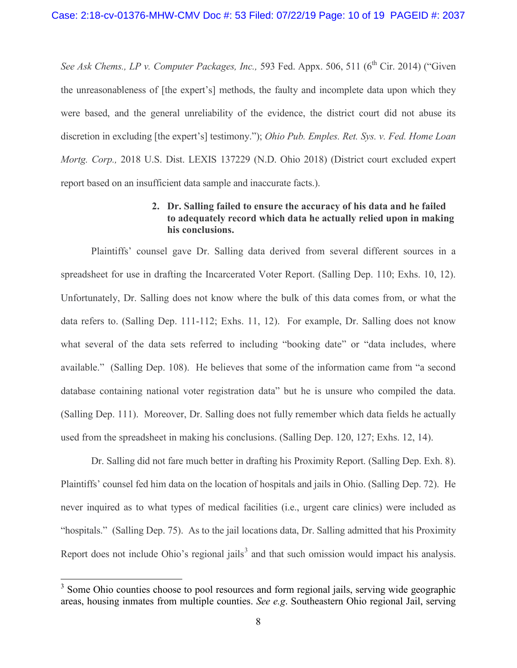*See Ask Chems., LP v. Computer Packages, Inc., 593 Fed. Appx. 506, 511 (6<sup>th</sup> Cir. 2014) ("Given"* the unreasonableness of [the expert's] methods, the faulty and incomplete data upon which they were based, and the general unreliability of the evidence, the district court did not abuse its discretion in excluding [the expert's] testimony."); *Ohio Pub. Emples. Ret. Sys. v. Fed. Home Loan Mortg. Corp.,* 2018 U.S. Dist. LEXIS 137229 (N.D. Ohio 2018) (District court excluded expert report based on an insufficient data sample and inaccurate facts.).

### **2. Dr. Salling failed to ensure the accuracy of his data and he failed to adequately record which data he actually relied upon in making his conclusions.**

Plaintiffs' counsel gave Dr. Salling data derived from several different sources in a spreadsheet for use in drafting the Incarcerated Voter Report. (Salling Dep. 110; Exhs. 10, 12). Unfortunately, Dr. Salling does not know where the bulk of this data comes from, or what the data refers to. (Salling Dep. 111-112; Exhs. 11, 12). For example, Dr. Salling does not know what several of the data sets referred to including "booking date" or "data includes, where available." (Salling Dep. 108). He believes that some of the information came from "a second database containing national voter registration data" but he is unsure who compiled the data. (Salling Dep. 111). Moreover, Dr. Salling does not fully remember which data fields he actually used from the spreadsheet in making his conclusions. (Salling Dep. 120, 127; Exhs. 12, 14).

Dr. Salling did not fare much better in drafting his Proximity Report. (Salling Dep. Exh. 8). Plaintiffs' counsel fed him data on the location of hospitals and jails in Ohio. (Salling Dep. 72). He never inquired as to what types of medical facilities (i.e., urgent care clinics) were included as "hospitals." (Salling Dep. 75). As to the jail locations data, Dr. Salling admitted that his Proximity Report does not include Ohio's regional jails<sup>[3](#page-9-0)</sup> and that such omission would impact his analysis.

<span id="page-9-0"></span><sup>&</sup>lt;sup>3</sup> Some Ohio counties choose to pool resources and form regional jails, serving wide geographic areas, housing inmates from multiple counties. *See e.g*. Southeastern Ohio regional Jail, serving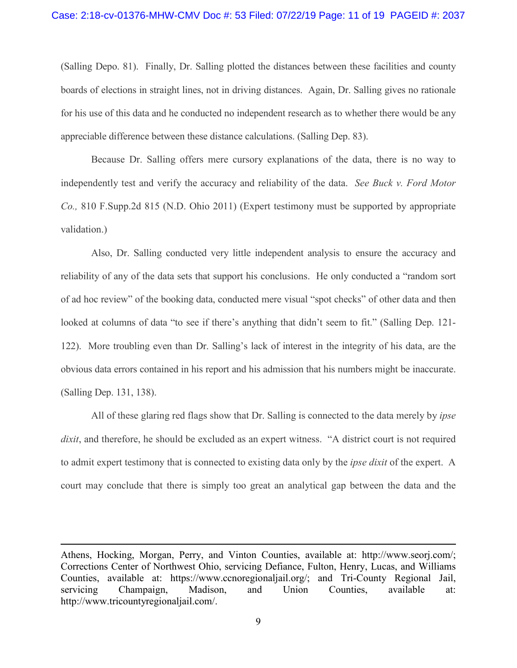(Salling Depo. 81). Finally, Dr. Salling plotted the distances between these facilities and county boards of elections in straight lines, not in driving distances. Again, Dr. Salling gives no rationale for his use of this data and he conducted no independent research as to whether there would be any appreciable difference between these distance calculations. (Salling Dep. 83).

Because Dr. Salling offers mere cursory explanations of the data, there is no way to independently test and verify the accuracy and reliability of the data. *See Buck v. Ford Motor Co.,* 810 F.Supp.2d 815 (N.D. Ohio 2011) (Expert testimony must be supported by appropriate validation.)

Also, Dr. Salling conducted very little independent analysis to ensure the accuracy and reliability of any of the data sets that support his conclusions. He only conducted a "random sort of ad hoc review" of the booking data, conducted mere visual "spot checks" of other data and then looked at columns of data "to see if there's anything that didn't seem to fit." (Salling Dep. 121- 122). More troubling even than Dr. Salling's lack of interest in the integrity of his data, are the obvious data errors contained in his report and his admission that his numbers might be inaccurate. (Salling Dep. 131, 138).

All of these glaring red flags show that Dr. Salling is connected to the data merely by *ipse dixit*, and therefore, he should be excluded as an expert witness. "A district court is not required to admit expert testimony that is connected to existing data only by the *ipse dixit* of the expert. A court may conclude that there is simply too great an analytical gap between the data and the

 $\overline{a}$ 

Athens, Hocking, Morgan, Perry, and Vinton Counties, available at: http://www.seorj.com/; Corrections Center of Northwest Ohio, servicing Defiance, Fulton, Henry, Lucas, and Williams Counties, available at: https://www.ccnoregionaljail.org/; and Tri-County Regional Jail, servicing Champaign, Madison, and Union Counties, available at: http://www.tricountyregionaljail.com/.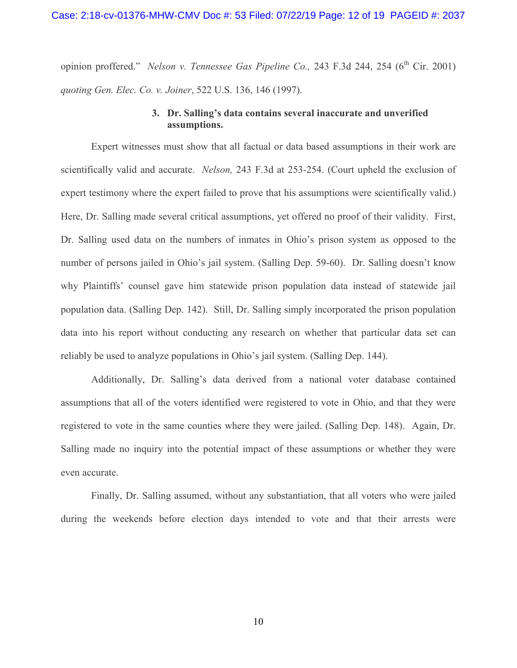opinion proffered." *Nelson v. Tennessee Gas Pipeline Co.*, 243 F.3d 244, 254 (6<sup>th</sup> Cir. 2001) *quoting Gen. Elec. Co. v. Joiner*, 522 U.S. 136, 146 (1997).

### **3. Dr. Salling's data contains several inaccurate and unverified assumptions.**

Expert witnesses must show that all factual or data based assumptions in their work are scientifically valid and accurate. *Nelson,* 243 F.3d at 253-254. (Court upheld the exclusion of expert testimony where the expert failed to prove that his assumptions were scientifically valid.) Here, Dr. Salling made several critical assumptions, yet offered no proof of their validity. First, Dr. Salling used data on the numbers of inmates in Ohio's prison system as opposed to the number of persons jailed in Ohio's jail system. (Salling Dep. 59-60). Dr. Salling doesn't know why Plaintiffs' counsel gave him statewide prison population data instead of statewide jail population data. (Salling Dep. 142). Still, Dr. Salling simply incorporated the prison population data into his report without conducting any research on whether that particular data set can reliably be used to analyze populations in Ohio's jail system. (Salling Dep. 144).

Additionally, Dr. Salling's data derived from a national voter database contained assumptions that all of the voters identified were registered to vote in Ohio, and that they were registered to vote in the same counties where they were jailed. (Salling Dep. 148). Again, Dr. Salling made no inquiry into the potential impact of these assumptions or whether they were even accurate.

Finally, Dr. Salling assumed, without any substantiation, that all voters who were jailed during the weekends before election days intended to vote and that their arrests were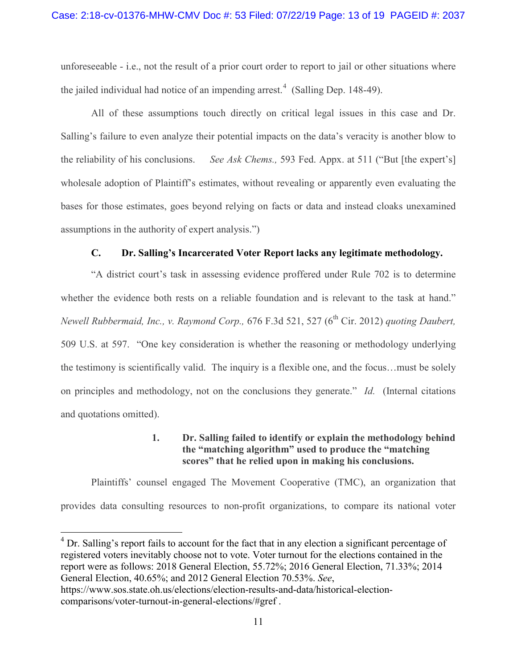unforeseeable - i.e., not the result of a prior court order to report to jail or other situations where the jailed individual had notice of an impending arrest.<sup>[4](#page-12-0)</sup> (Salling Dep. 148-49).

All of these assumptions touch directly on critical legal issues in this case and Dr. Salling's failure to even analyze their potential impacts on the data's veracity is another blow to the reliability of his conclusions. *See Ask Chems.,* 593 Fed. Appx. at 511 ("But [the expert's] wholesale adoption of Plaintiff's estimates, without revealing or apparently even evaluating the bases for those estimates, goes beyond relying on facts or data and instead cloaks unexamined assumptions in the authority of expert analysis.")

### **C. Dr. Salling's Incarcerated Voter Report lacks any legitimate methodology.**

"A district court's task in assessing evidence proffered under Rule 702 is to determine whether the evidence both rests on a reliable foundation and is relevant to the task at hand." *Newell Rubbermaid, Inc., v. Raymond Corp.,* 676 F.3d 521, 527 (6<sup>th</sup> Cir. 2012) *quoting Daubert,* 509 U.S. at 597. "One key consideration is whether the reasoning or methodology underlying the testimony is scientifically valid. The inquiry is a flexible one, and the focus…must be solely on principles and methodology, not on the conclusions they generate." *Id.* (Internal citations and quotations omitted).

### **1. Dr. Salling failed to identify or explain the methodology behind the "matching algorithm" used to produce the "matching scores" that he relied upon in making his conclusions.**

Plaintiffs' counsel engaged The Movement Cooperative (TMC), an organization that provides data consulting resources to non-profit organizations, to compare its national voter

<span id="page-12-0"></span><sup>&</sup>lt;sup>4</sup> Dr. Salling's report fails to account for the fact that in any election a significant percentage of registered voters inevitably choose not to vote. Voter turnout for the elections contained in the report were as follows: 2018 General Election, 55.72%; 2016 General Election, 71.33%; 2014 General Election, 40.65%; and 2012 General Election 70.53%. *See*,

https://www.sos.state.oh.us/elections/election-results-and-data/historical-electioncomparisons/voter-turnout-in-general-elections/#gref .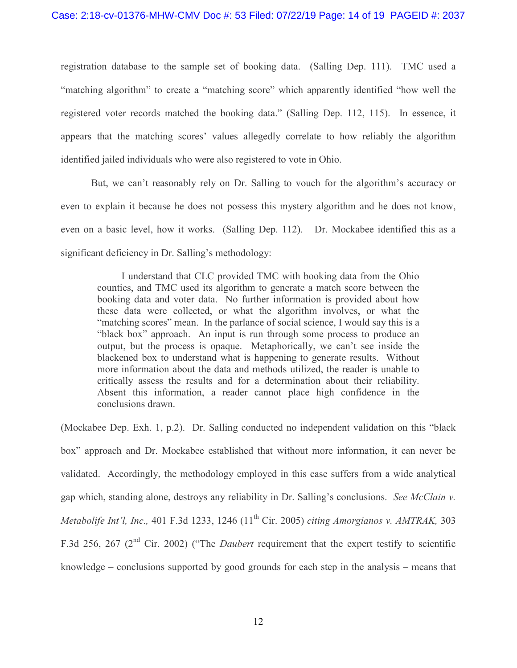registration database to the sample set of booking data. (Salling Dep. 111). TMC used a "matching algorithm" to create a "matching score" which apparently identified "how well the registered voter records matched the booking data." (Salling Dep. 112, 115). In essence, it appears that the matching scores' values allegedly correlate to how reliably the algorithm identified jailed individuals who were also registered to vote in Ohio.

But, we can't reasonably rely on Dr. Salling to vouch for the algorithm's accuracy or even to explain it because he does not possess this mystery algorithm and he does not know, even on a basic level, how it works. (Salling Dep. 112). Dr. Mockabee identified this as a significant deficiency in Dr. Salling's methodology:

I understand that CLC provided TMC with booking data from the Ohio counties, and TMC used its algorithm to generate a match score between the booking data and voter data. No further information is provided about how these data were collected, or what the algorithm involves, or what the "matching scores" mean. In the parlance of social science, I would say this is a "black box" approach. An input is run through some process to produce an output, but the process is opaque. Metaphorically, we can't see inside the blackened box to understand what is happening to generate results. Without more information about the data and methods utilized, the reader is unable to critically assess the results and for a determination about their reliability. Absent this information, a reader cannot place high confidence in the conclusions drawn.

(Mockabee Dep. Exh. 1, p.2). Dr. Salling conducted no independent validation on this "black box" approach and Dr. Mockabee established that without more information, it can never be validated. Accordingly, the methodology employed in this case suffers from a wide analytical gap which, standing alone, destroys any reliability in Dr. Salling's conclusions. *See McClain v. Metabolife Int'l, Inc., 401 F.3d 1233, 1246 (11<sup>th</sup> Cir. 2005) <i>citing Amorgianos v. AMTRAK, 303* F.3d 256, 267 (2nd Cir. 2002) ("The *Daubert* requirement that the expert testify to scientific knowledge – conclusions supported by good grounds for each step in the analysis – means that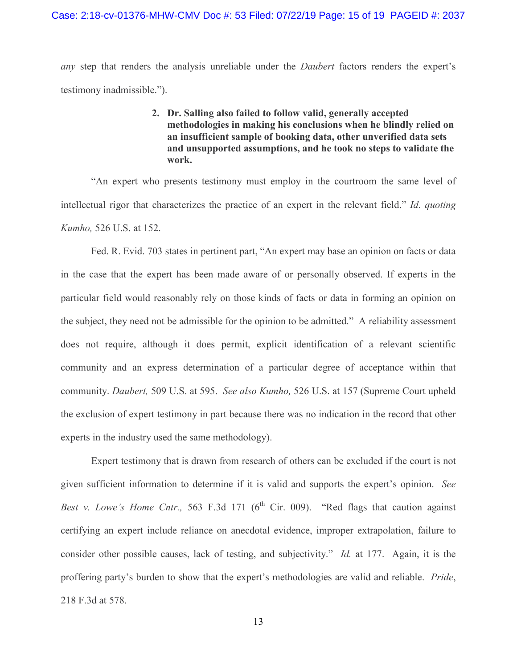*any* step that renders the analysis unreliable under the *Daubert* factors renders the expert's testimony inadmissible.").

> **2. Dr. Salling also failed to follow valid, generally accepted methodologies in making his conclusions when he blindly relied on an insufficient sample of booking data, other unverified data sets and unsupported assumptions, and he took no steps to validate the work.**

"An expert who presents testimony must employ in the courtroom the same level of intellectual rigor that characterizes the practice of an expert in the relevant field." *Id. quoting Kumho,* 526 U.S. at 152.

Fed. R. Evid. 703 states in pertinent part, "An expert may base an opinion on facts or data in the case that the expert has been made aware of or personally observed. If experts in the particular field would reasonably rely on those kinds of facts or data in forming an opinion on the subject, they need not be admissible for the opinion to be admitted." A reliability assessment does not require, although it does permit, explicit identification of a relevant scientific community and an express determination of a particular degree of acceptance within that community. *Daubert,* 509 U.S. at 595. *See also Kumho,* 526 U.S. at 157 (Supreme Court upheld the exclusion of expert testimony in part because there was no indication in the record that other experts in the industry used the same methodology).

Expert testimony that is drawn from research of others can be excluded if the court is not given sufficient information to determine if it is valid and supports the expert's opinion. *See Best v. Lowe's Home Cntr., 563 F.3d 171 (6<sup>th</sup> Cir. 009).* "Red flags that caution against certifying an expert include reliance on anecdotal evidence, improper extrapolation, failure to consider other possible causes, lack of testing, and subjectivity." *Id.* at 177.Again, it is the proffering party's burden to show that the expert's methodologies are valid and reliable. *Pride*, 218 F.3d at 578.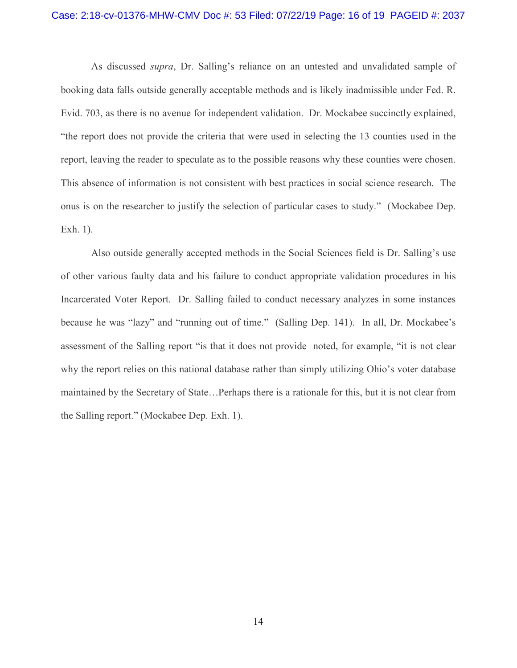#### Case: 2:18-cv-01376-MHW-CMV Doc #: 53 Filed: 07/22/19 Page: 16 of 19 PAGEID #: 2037

As discussed *supra*, Dr. Salling's reliance on an untested and unvalidated sample of booking data falls outside generally acceptable methods and is likely inadmissible under Fed. R. Evid. 703, as there is no avenue for independent validation. Dr. Mockabee succinctly explained, "the report does not provide the criteria that were used in selecting the 13 counties used in the report, leaving the reader to speculate as to the possible reasons why these counties were chosen. This absence of information is not consistent with best practices in social science research. The onus is on the researcher to justify the selection of particular cases to study." (Mockabee Dep. Exh. 1).

Also outside generally accepted methods in the Social Sciences field is Dr. Salling's use of other various faulty data and his failure to conduct appropriate validation procedures in his Incarcerated Voter Report. Dr. Salling failed to conduct necessary analyzes in some instances because he was "lazy" and "running out of time." (Salling Dep. 141). In all, Dr. Mockabee's assessment of the Salling report "is that it does not provide noted, for example, "it is not clear why the report relies on this national database rather than simply utilizing Ohio's voter database maintained by the Secretary of State…Perhaps there is a rationale for this, but it is not clear from the Salling report." (Mockabee Dep. Exh. 1).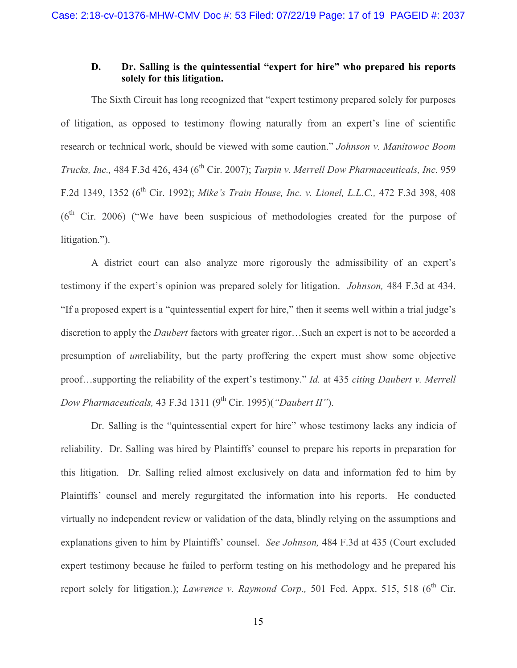### **D. Dr. Salling is the quintessential "expert for hire" who prepared his reports solely for this litigation.**

The Sixth Circuit has long recognized that "expert testimony prepared solely for purposes of litigation, as opposed to testimony flowing naturally from an expert's line of scientific research or technical work, should be viewed with some caution." *Johnson v. Manitowoc Boom Trucks, Inc., 484 F.3d 426, 434 (6<sup>th</sup> Cir. 2007); <i>Turpin v. Merrell Dow Pharmaceuticals, Inc. 959* F.2d 1349, 1352 (6th Cir. 1992); *Mike's Train House, Inc. v. Lionel, L.L.C.,* 472 F.3d 398, 408  $(6<sup>th</sup>$  Cir. 2006) ("We have been suspicious of methodologies created for the purpose of litigation.").

A district court can also analyze more rigorously the admissibility of an expert's testimony if the expert's opinion was prepared solely for litigation. *Johnson,* 484 F.3d at 434. "If a proposed expert is a "quintessential expert for hire," then it seems well within a trial judge's discretion to apply the *Daubert* factors with greater rigor…Such an expert is not to be accorded a presumption of *un*reliability, but the party proffering the expert must show some objective proof…supporting the reliability of the expert's testimony." *Id.* at 435 *citing Daubert v. Merrell Dow Pharmaceuticals,* 43 F.3d 1311 (9<sup>th</sup> Cir. 1995)(*"Daubert II"*).

Dr. Salling is the "quintessential expert for hire" whose testimony lacks any indicia of reliability. Dr. Salling was hired by Plaintiffs' counsel to prepare his reports in preparation for this litigation. Dr. Salling relied almost exclusively on data and information fed to him by Plaintiffs' counsel and merely regurgitated the information into his reports. He conducted virtually no independent review or validation of the data, blindly relying on the assumptions and explanations given to him by Plaintiffs' counsel. *See Johnson,* 484 F.3d at 435 (Court excluded expert testimony because he failed to perform testing on his methodology and he prepared his report solely for litigation.); *Lawrence v. Raymond Corp.*, 501 Fed. Appx. 515, 518 (6<sup>th</sup> Cir.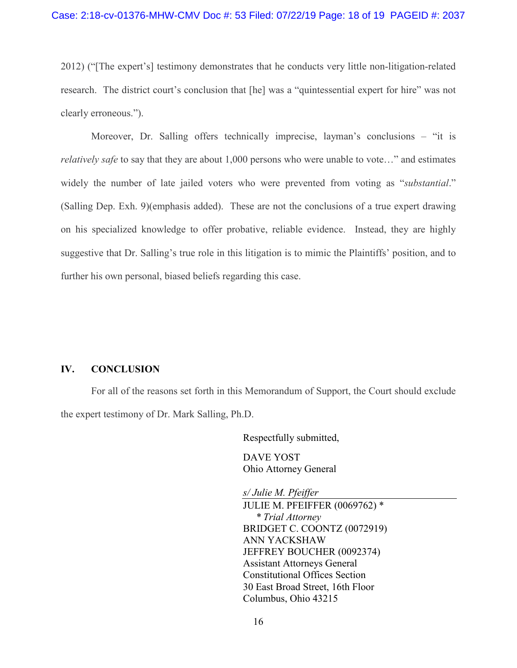2012) ("[The expert's] testimony demonstrates that he conducts very little non-litigation-related research. The district court's conclusion that [he] was a "quintessential expert for hire" was not clearly erroneous.").

Moreover, Dr. Salling offers technically imprecise, layman's conclusions – "it is *relatively safe* to say that they are about 1,000 persons who were unable to vote..." and estimates widely the number of late jailed voters who were prevented from voting as "*substantial*." (Salling Dep. Exh. 9)(emphasis added). These are not the conclusions of a true expert drawing on his specialized knowledge to offer probative, reliable evidence. Instead, they are highly suggestive that Dr. Salling's true role in this litigation is to mimic the Plaintiffs' position, and to further his own personal, biased beliefs regarding this case.

#### **IV. CONCLUSION**

For all of the reasons set forth in this Memorandum of Support, the Court should exclude the expert testimony of Dr. Mark Salling, Ph.D.

Respectfully submitted,

DAVE YOST Ohio Attorney General

*s/ Julie M. Pfeiffer*

JULIE M. PFEIFFER (0069762) \* *\* Trial Attorney* BRIDGET C. COONTZ (0072919) ANN YACKSHAW JEFFREY BOUCHER (0092374) Assistant Attorneys General Constitutional Offices Section 30 East Broad Street, 16th Floor Columbus, Ohio 43215